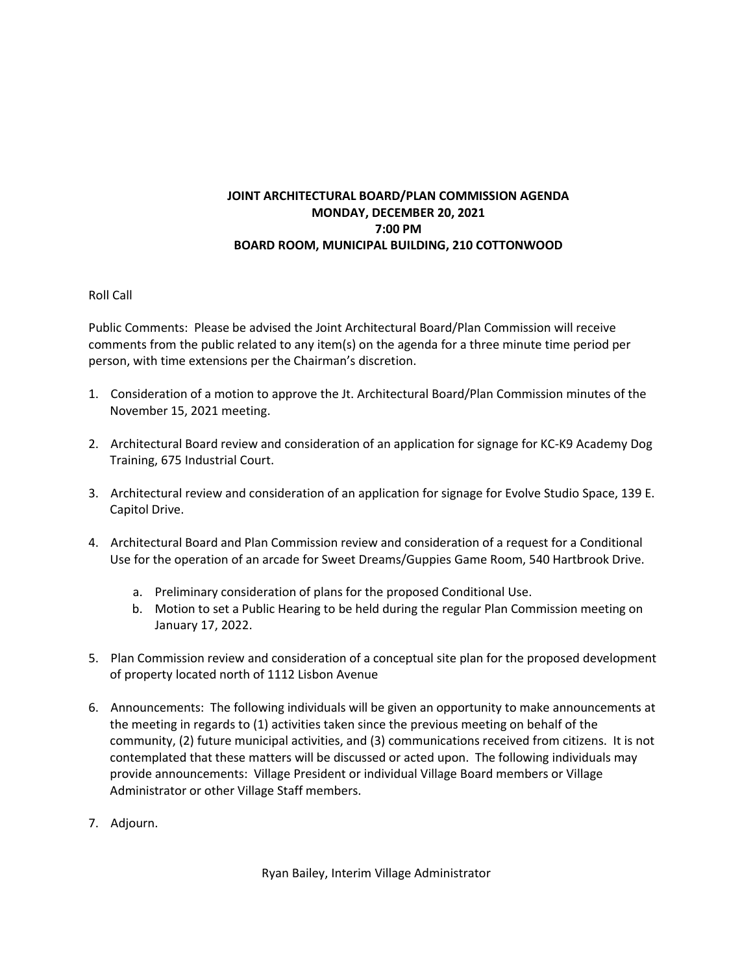## **JOINT ARCHITECTURAL BOARD/PLAN COMMISSION AGENDA MONDAY, DECEMBER 20, 2021 7:00 PM BOARD ROOM, MUNICIPAL BUILDING, 210 COTTONWOOD**

## Roll Call

Public Comments: Please be advised the Joint Architectural Board/Plan Commission will receive comments from the public related to any item(s) on the agenda for a three minute time period per person, with time extensions per the Chairman's discretion.

- 1. Consideration of a motion to approve the Jt. Architectural Board/Plan Commission minutes of the November 15, 2021 meeting.
- 2. Architectural Board review and consideration of an application for signage for KC-K9 Academy Dog Training, 675 Industrial Court.
- 3. Architectural review and consideration of an application for signage for Evolve Studio Space, 139 E. Capitol Drive.
- 4. Architectural Board and Plan Commission review and consideration of a request for a Conditional Use for the operation of an arcade for Sweet Dreams/Guppies Game Room, 540 Hartbrook Drive.
	- a. Preliminary consideration of plans for the proposed Conditional Use.
	- b. Motion to set a Public Hearing to be held during the regular Plan Commission meeting on January 17, 2022.
- 5. Plan Commission review and consideration of a conceptual site plan for the proposed development of property located north of 1112 Lisbon Avenue
- 6. Announcements: The following individuals will be given an opportunity to make announcements at the meeting in regards to (1) activities taken since the previous meeting on behalf of the community, (2) future municipal activities, and (3) communications received from citizens. It is not contemplated that these matters will be discussed or acted upon. The following individuals may provide announcements: Village President or individual Village Board members or Village Administrator or other Village Staff members.
- 7. Adjourn.